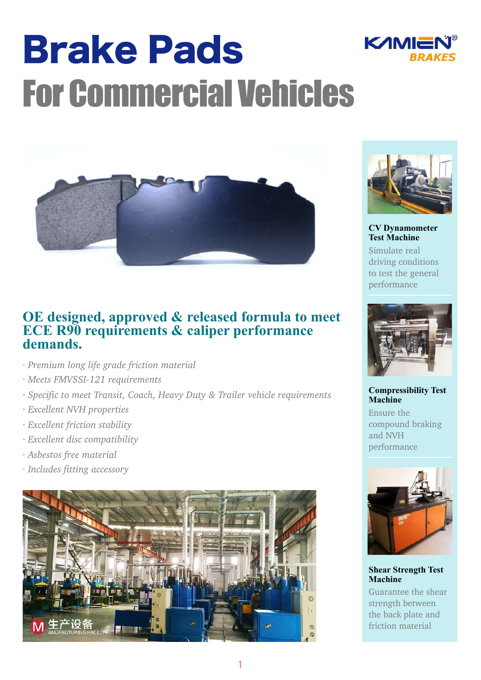# Brake Pads For Commercial Vehicles



### **OE designed, approved & released formula to meet ECE R90 requirements & caliper performance demands.**

- *· Premium long life grade friction material*
- *· Meets FMVSSI-121 requirements*
- *· Specific to meet Transit, Coach, Heavy Duty & Trailer vehicle requirements*
- *· Excellent NVH properties*
- *· Excellent friction stability*
- *· Excellent disc compatibility*
- *· Asbestos free material*
- *· Includes fitting accessory*





KAMIE

**CV Dynamometer Test Machine** 

Simulate real driving conditions to test the general performance



#### **Compressibility Test Machine**

Ensure the compound braking and NVH performance



#### **Shear Strength Test Machine**

Guarantee the shear strength between the back plate and friction material

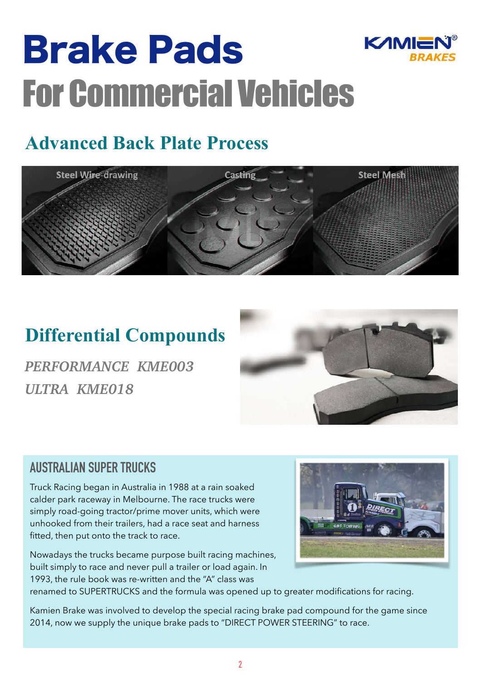# Brake Pads For Commercial Vehicles



## **Advanced Back Plate Process**



### **Differential Compounds**

*PERFORMANCE KME003 ULTRA KME018*



### **AUSTRALIAN SUPER TRUCKS**

Truck Racing began in Australia in 1988 at a rain soaked calder park raceway in Melbourne. The race trucks were simply road-going tractor/prime mover units, which were unhooked from their trailers, had a race seat and harness fitted, then put onto the track to race.

Nowadays the trucks became purpose built racing machines, built simply to race and never pull a trailer or load again. In 1993, the rule book was re-written and the "A" class was



renamed to SUPERTRUCKS and the formula was opened up to greater modifications for racing.

Kamien Brake was involved to develop the special racing brake pad compound for the game since 2014, now we supply the unique brake pads to "DIRECT POWER STEERING" to race.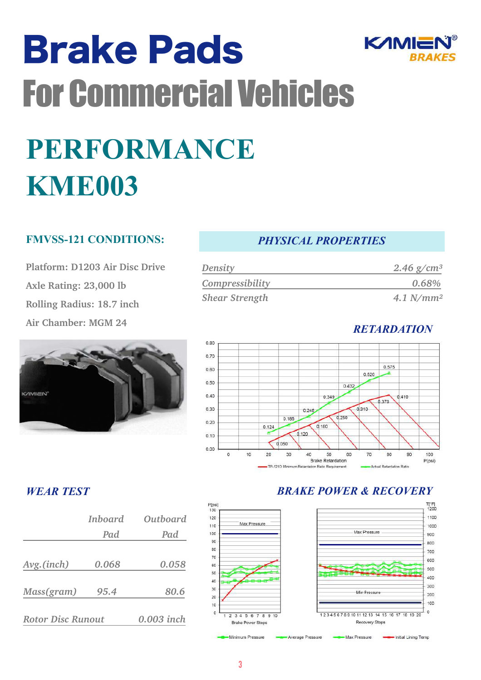# Brake Pads For Commercial Vehicles **PERFORMANCE KME003**

#### **FMVSS-121 CONDITIONS:**

**Platform: D1203 Air Disc Drive Axle Rating: 23,000 lb Rolling Radius: 18.7 inch Air Chamber: MGM 24**



#### *PHYSICAL PROPERTIES*

KAMIE

| <b>Density</b>        | 2.46 $g/cm^3$ |
|-----------------------|---------------|
| Compressibility       | 0.68%         |
| <b>Shear Strength</b> | $4.1 N/mm^2$  |



#### *WEAR TEST*

|                          | Inboard | Outboard   |
|--------------------------|---------|------------|
|                          | Pad     | Pad        |
|                          |         |            |
| Avg. (inch)              | 0.068   | 0.058      |
|                          |         |            |
| Mass(gram)               | 95.4    | 80.6       |
|                          |         |            |
| <b>Rotor Disc Runout</b> |         | 0.003 inch |

#### *BRAKE POWER & RECOVERY*



 $120$ 

110

100

 $\alpha$ 

80

70

60

 $56$ 

 $40$ 

 $30$ 

 $\overline{20}$ 

 $10^{-1}$  $\mathfrak{a}$